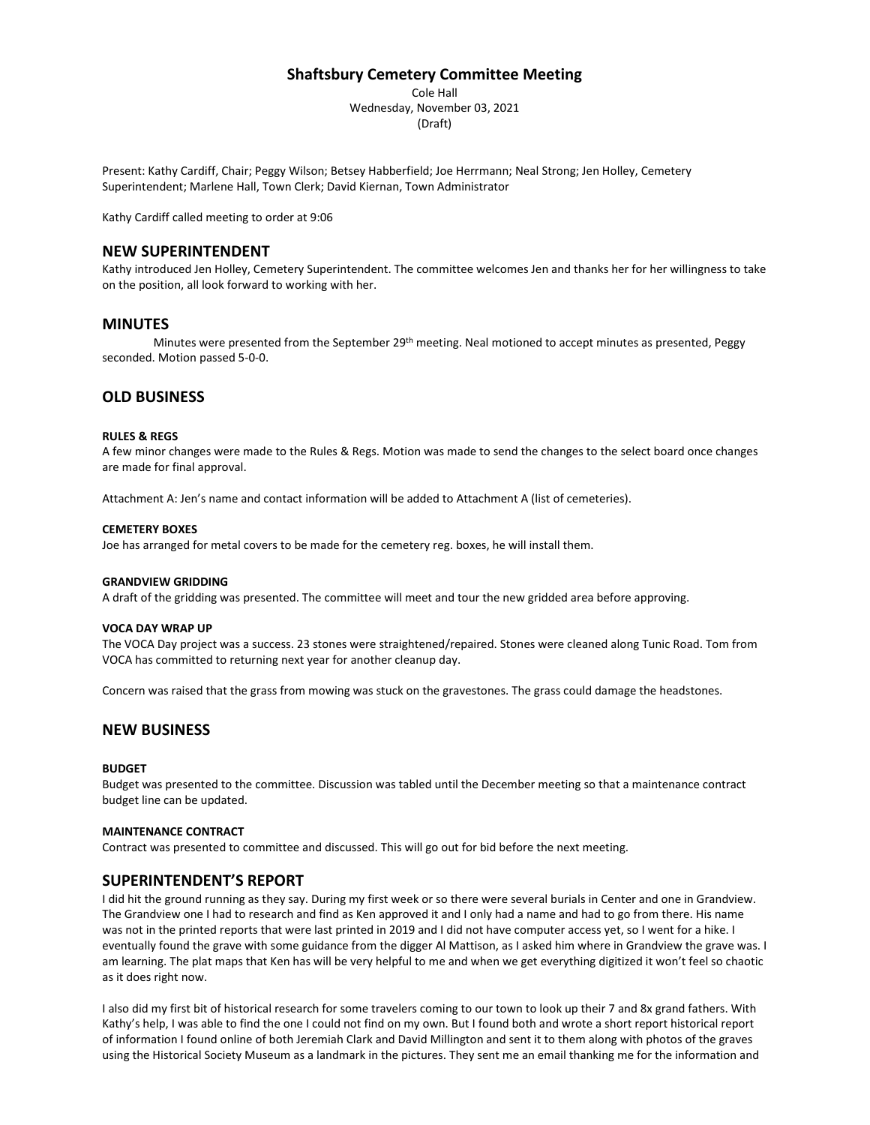# **Shaftsbury Cemetery Committee Meeting**

Cole Hall Wednesday, November 03, 2021 (Draft)

Present: Kathy Cardiff, Chair; Peggy Wilson; Betsey Habberfield; Joe Herrmann; Neal Strong; Jen Holley, Cemetery Superintendent; Marlene Hall, Town Clerk; David Kiernan, Town Administrator

Kathy Cardiff called meeting to order at 9:06

# **NEW SUPERINTENDENT**

Kathy introduced Jen Holley, Cemetery Superintendent. The committee welcomes Jen and thanks her for her willingness to take on the position, all look forward to working with her.

# **MINUTES**

Minutes were presented from the September 29<sup>th</sup> meeting. Neal motioned to accept minutes as presented, Peggy seconded. Motion passed 5-0-0.

# **OLD BUSINESS**

### **RULES & REGS**

A few minor changes were made to the Rules & Regs. Motion was made to send the changes to the select board once changes are made for final approval.

Attachment A: Jen's name and contact information will be added to Attachment A (list of cemeteries).

### **CEMETERY BOXES**

Joe has arranged for metal covers to be made for the cemetery reg. boxes, he will install them.

#### **GRANDVIEW GRIDDING**

A draft of the gridding was presented. The committee will meet and tour the new gridded area before approving.

#### **VOCA DAY WRAP UP**

The VOCA Day project was a success. 23 stones were straightened/repaired. Stones were cleaned along Tunic Road. Tom from VOCA has committed to returning next year for another cleanup day.

Concern was raised that the grass from mowing was stuck on the gravestones. The grass could damage the headstones.

# **NEW BUSINESS**

#### **BUDGET**

Budget was presented to the committee. Discussion was tabled until the December meeting so that a maintenance contract budget line can be updated.

#### **MAINTENANCE CONTRACT**

Contract was presented to committee and discussed. This will go out for bid before the next meeting.

# **SUPERINTENDENT'S REPORT**

I did hit the ground running as they say. During my first week or so there were several burials in Center and one in Grandview. The Grandview one I had to research and find as Ken approved it and I only had a name and had to go from there. His name was not in the printed reports that were last printed in 2019 and I did not have computer access yet, so I went for a hike. I eventually found the grave with some guidance from the digger Al Mattison, as I asked him where in Grandview the grave was. I am learning. The plat maps that Ken has will be very helpful to me and when we get everything digitized it won't feel so chaotic as it does right now.

I also did my first bit of historical research for some travelers coming to our town to look up their 7 and 8x grand fathers. With Kathy's help, I was able to find the one I could not find on my own. But I found both and wrote a short report historical report of information I found online of both Jeremiah Clark and David Millington and sent it to them along with photos of the graves using the Historical Society Museum as a landmark in the pictures. They sent me an email thanking me for the information and